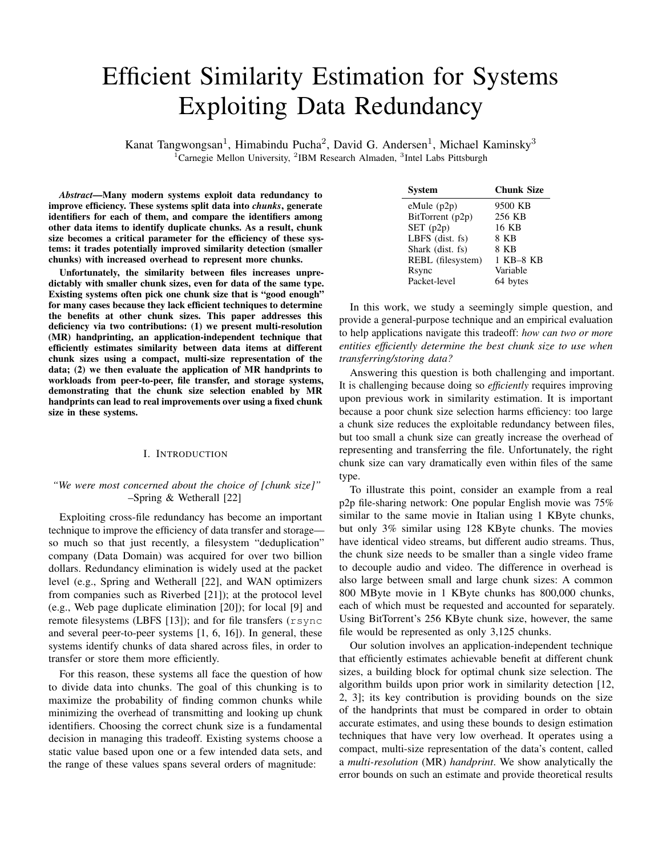# Efficient Similarity Estimation for Systems Exploiting Data Redundancy

Kanat Tangwongsan<sup>1</sup>, Himabindu Pucha<sup>2</sup>, David G. Andersen<sup>1</sup>, Michael Kaminsky<sup>3</sup> <sup>1</sup>Carnegie Mellon University, <sup>2</sup>IBM Research Almaden, <sup>3</sup>Intel Labs Pittsburgh

*Abstract*—Many modern systems exploit data redundancy to improve efficiency. These systems split data into *chunks*, generate identifiers for each of them, and compare the identifiers among other data items to identify duplicate chunks. As a result, chunk size becomes a critical parameter for the efficiency of these systems: it trades potentially improved similarity detection (smaller chunks) with increased overhead to represent more chunks.

Unfortunately, the similarity between files increases unpredictably with smaller chunk sizes, even for data of the same type. Existing systems often pick one chunk size that is "good enough" for many cases because they lack efficient techniques to determine the benefits at other chunk sizes. This paper addresses this deficiency via two contributions: (1) we present multi-resolution (MR) handprinting, an application-independent technique that efficiently estimates similarity between data items at different chunk sizes using a compact, multi-size representation of the data; (2) we then evaluate the application of MR handprints to workloads from peer-to-peer, file transfer, and storage systems, demonstrating that the chunk size selection enabled by MR handprints can lead to real improvements over using a fixed chunk size in these systems.

## I. INTRODUCTION

# *"We were most concerned about the choice of [chunk size]"* –Spring & Wetherall [22]

Exploiting cross-file redundancy has become an important technique to improve the efficiency of data transfer and storage so much so that just recently, a filesystem "deduplication" company (Data Domain) was acquired for over two billion dollars. Redundancy elimination is widely used at the packet level (e.g., Spring and Wetherall [22], and WAN optimizers from companies such as Riverbed [21]); at the protocol level (e.g., Web page duplicate elimination [20]); for local [9] and remote filesystems (LBFS [13]); and for file transfers (rsync and several peer-to-peer systems [1, 6, 16]). In general, these systems identify chunks of data shared across files, in order to transfer or store them more efficiently.

For this reason, these systems all face the question of how to divide data into chunks. The goal of this chunking is to maximize the probability of finding common chunks while minimizing the overhead of transmitting and looking up chunk identifiers. Choosing the correct chunk size is a fundamental decision in managing this tradeoff. Existing systems choose a static value based upon one or a few intended data sets, and the range of these values spans several orders of magnitude:

| System             | <b>Chunk Size</b> |
|--------------------|-------------------|
| $e$ Mule ( $p2p$ ) | 9500 KB           |
| BitTorrent (p2p)   | 256 KB            |
| SET(p2p)           | 16 KB             |
| LBFS $(dist. fs)$  | 8 KB              |
| Shark (dist. fs)   | 8 KB              |
| REBL (filesystem)  | 1 KB-8 KB         |
| Rsync              | Variable          |
| Packet-level       | 64 bytes          |

In this work, we study a seemingly simple question, and provide a general-purpose technique and an empirical evaluation to help applications navigate this tradeoff: *how can two or more entities efficiently determine the best chunk size to use when transferring/storing data?*

Answering this question is both challenging and important. It is challenging because doing so *efficiently* requires improving upon previous work in similarity estimation. It is important because a poor chunk size selection harms efficiency: too large a chunk size reduces the exploitable redundancy between files, but too small a chunk size can greatly increase the overhead of representing and transferring the file. Unfortunately, the right chunk size can vary dramatically even within files of the same type.

To illustrate this point, consider an example from a real p2p file-sharing network: One popular English movie was 75% similar to the same movie in Italian using 1 KByte chunks, but only 3% similar using 128 KByte chunks. The movies have identical video streams, but different audio streams. Thus, the chunk size needs to be smaller than a single video frame to decouple audio and video. The difference in overhead is also large between small and large chunk sizes: A common 800 MByte movie in 1 KByte chunks has 800,000 chunks, each of which must be requested and accounted for separately. Using BitTorrent's 256 KByte chunk size, however, the same file would be represented as only 3,125 chunks.

Our solution involves an application-independent technique that efficiently estimates achievable benefit at different chunk sizes, a building block for optimal chunk size selection. The algorithm builds upon prior work in similarity detection [12, 2, 3]; its key contribution is providing bounds on the size of the handprints that must be compared in order to obtain accurate estimates, and using these bounds to design estimation techniques that have very low overhead. It operates using a compact, multi-size representation of the data's content, called a *multi-resolution* (MR) *handprint*. We show analytically the error bounds on such an estimate and provide theoretical results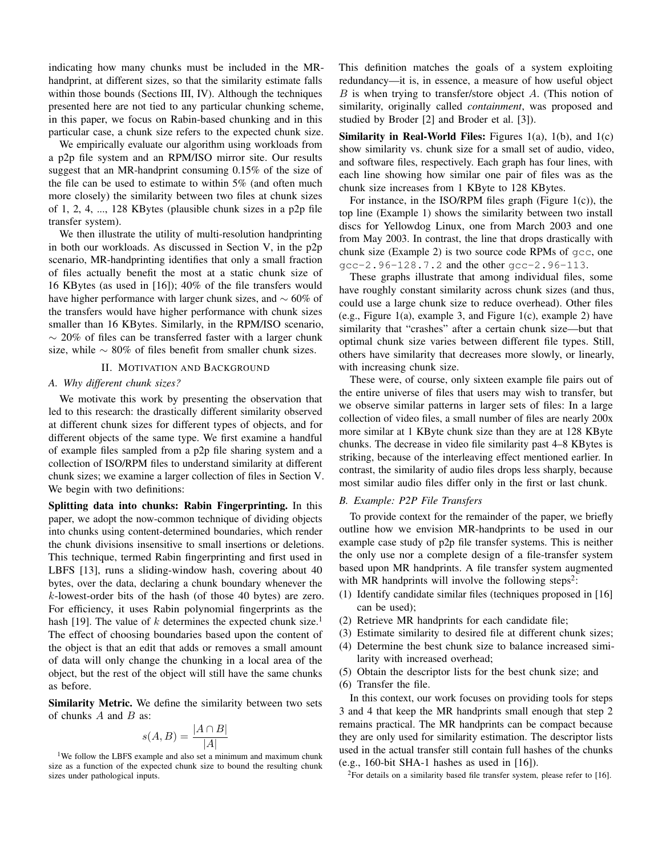indicating how many chunks must be included in the MRhandprint, at different sizes, so that the similarity estimate falls within those bounds (Sections III, IV). Although the techniques presented here are not tied to any particular chunking scheme, in this paper, we focus on Rabin-based chunking and in this particular case, a chunk size refers to the expected chunk size.

We empirically evaluate our algorithm using workloads from a p2p file system and an RPM/ISO mirror site. Our results suggest that an MR-handprint consuming 0.15% of the size of the file can be used to estimate to within 5% (and often much more closely) the similarity between two files at chunk sizes of 1, 2, 4, ..., 128 KBytes (plausible chunk sizes in a p2p file transfer system).

We then illustrate the utility of multi-resolution handprinting in both our workloads. As discussed in Section V, in the p2p scenario, MR-handprinting identifies that only a small fraction of files actually benefit the most at a static chunk size of 16 KBytes (as used in [16]); 40% of the file transfers would have higher performance with larger chunk sizes, and  $\sim 60\%$  of the transfers would have higher performance with chunk sizes smaller than 16 KBytes. Similarly, in the RPM/ISO scenario,  $\sim$  20% of files can be transferred faster with a larger chunk size, while  $\sim 80\%$  of files benefit from smaller chunk sizes.

## II. MOTIVATION AND BACKGROUND

## *A. Why different chunk sizes?*

We motivate this work by presenting the observation that led to this research: the drastically different similarity observed at different chunk sizes for different types of objects, and for different objects of the same type. We first examine a handful of example files sampled from a p2p file sharing system and a collection of ISO/RPM files to understand similarity at different chunk sizes; we examine a larger collection of files in Section V. We begin with two definitions:

Splitting data into chunks: Rabin Fingerprinting. In this paper, we adopt the now-common technique of dividing objects into chunks using content-determined boundaries, which render the chunk divisions insensitive to small insertions or deletions. This technique, termed Rabin fingerprinting and first used in LBFS [13], runs a sliding-window hash, covering about 40 bytes, over the data, declaring a chunk boundary whenever the k-lowest-order bits of the hash (of those 40 bytes) are zero. For efficiency, it uses Rabin polynomial fingerprints as the hash [19]. The value of k determines the expected chunk size.<sup>1</sup> The effect of choosing boundaries based upon the content of the object is that an edit that adds or removes a small amount of data will only change the chunking in a local area of the object, but the rest of the object will still have the same chunks as before.

Similarity Metric. We define the similarity between two sets of chunks  $A$  and  $B$  as:

$$
s(A, B) = \frac{|A \cap B|}{|A|}
$$

<sup>1</sup>We follow the LBFS example and also set a minimum and maximum chunk size as a function of the expected chunk size to bound the resulting chunk sizes under pathological inputs.

This definition matches the goals of a system exploiting redundancy—it is, in essence, a measure of how useful object B is when trying to transfer/store object A. (This notion of similarity, originally called *containment*, was proposed and studied by Broder [2] and Broder et al. [3]).

**Similarity in Real-World Files:** Figures  $1(a)$ ,  $1(b)$ , and  $1(c)$ show similarity vs. chunk size for a small set of audio, video, and software files, respectively. Each graph has four lines, with each line showing how similar one pair of files was as the chunk size increases from 1 KByte to 128 KBytes.

For instance, in the ISO/RPM files graph (Figure 1(c)), the top line (Example 1) shows the similarity between two install discs for Yellowdog Linux, one from March 2003 and one from May 2003. In contrast, the line that drops drastically with chunk size (Example 2) is two source code RPMs of gcc, one  $qcc-2.96-128.7.2$  and the other  $qcc-2.96-113.$ 

These graphs illustrate that among individual files, some have roughly constant similarity across chunk sizes (and thus, could use a large chunk size to reduce overhead). Other files (e.g., Figure 1(a), example 3, and Figure 1(c), example 2) have similarity that "crashes" after a certain chunk size—but that optimal chunk size varies between different file types. Still, others have similarity that decreases more slowly, or linearly, with increasing chunk size.

These were, of course, only sixteen example file pairs out of the entire universe of files that users may wish to transfer, but we observe similar patterns in larger sets of files: In a large collection of video files, a small number of files are nearly 200x more similar at 1 KByte chunk size than they are at 128 KByte chunks. The decrease in video file similarity past 4–8 KBytes is striking, because of the interleaving effect mentioned earlier. In contrast, the similarity of audio files drops less sharply, because most similar audio files differ only in the first or last chunk.

### *B. Example: P2P File Transfers*

To provide context for the remainder of the paper, we briefly outline how we envision MR-handprints to be used in our example case study of p2p file transfer systems. This is neither the only use nor a complete design of a file-transfer system based upon MR handprints. A file transfer system augmented with MR handprints will involve the following steps<sup>2</sup>:

- (1) Identify candidate similar files (techniques proposed in [16] can be used);
- (2) Retrieve MR handprints for each candidate file;
- (3) Estimate similarity to desired file at different chunk sizes;
- (4) Determine the best chunk size to balance increased similarity with increased overhead;
- (5) Obtain the descriptor lists for the best chunk size; and
- (6) Transfer the file.

In this context, our work focuses on providing tools for steps 3 and 4 that keep the MR handprints small enough that step 2 remains practical. The MR handprints can be compact because they are only used for similarity estimation. The descriptor lists used in the actual transfer still contain full hashes of the chunks (e.g., 160-bit SHA-1 hashes as used in [16]).

<sup>2</sup>For details on a similarity based file transfer system, please refer to [16].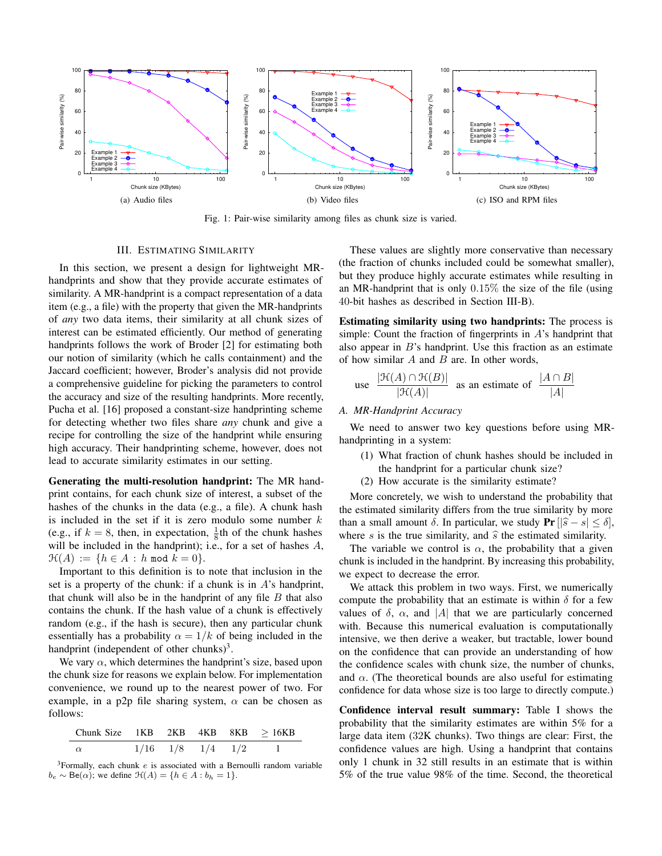

Fig. 1: Pair-wise similarity among files as chunk size is varied.

### III. ESTIMATING SIMILARITY

In this section, we present a design for lightweight MRhandprints and show that they provide accurate estimates of similarity. A MR-handprint is a compact representation of a data item (e.g., a file) with the property that given the MR-handprints of *any* two data items, their similarity at all chunk sizes of interest can be estimated efficiently. Our method of generating handprints follows the work of Broder [2] for estimating both our notion of similarity (which he calls containment) and the Jaccard coefficient; however, Broder's analysis did not provide a comprehensive guideline for picking the parameters to control the accuracy and size of the resulting handprints. More recently, Pucha et al. [16] proposed a constant-size handprinting scheme for detecting whether two files share *any* chunk and give a recipe for controlling the size of the handprint while ensuring high accuracy. Their handprinting scheme, however, does not lead to accurate similarity estimates in our setting.

Generating the multi-resolution handprint: The MR handprint contains, for each chunk size of interest, a subset of the hashes of the chunks in the data (e.g., a file). A chunk hash is included in the set if it is zero modulo some number  $k$ (e.g., if  $k = 8$ , then, in expectation,  $\frac{1}{8}$ th of the chunk hashes will be included in the handprint); i.e., for a set of hashes  $A$ ,  $\mathcal{H}(A) := \{ h \in A : h \text{ mod } k = 0 \}.$ 

Important to this definition is to note that inclusion in the set is a property of the chunk: if a chunk is in  $A$ 's handprint, that chunk will also be in the handprint of any file  $B$  that also contains the chunk. If the hash value of a chunk is effectively random (e.g., if the hash is secure), then any particular chunk essentially has a probability  $\alpha = 1/k$  of being included in the handprint (independent of other chunks)<sup>3</sup>.

We vary  $\alpha$ , which determines the handprint's size, based upon the chunk size for reasons we explain below. For implementation convenience, we round up to the nearest power of two. For example, in a p2p file sharing system,  $\alpha$  can be chosen as follows:

| Chunk Size $1KB$ $2KB$ $4KB$ $8KB$ $>16KB$ |  |                          |  |
|--------------------------------------------|--|--------------------------|--|
| $\alpha$                                   |  | $1/16$ $1/8$ $1/4$ $1/2$ |  |

 $3$ Formally, each chunk  $e$  is associated with a Bernoulli random variable  $b_e \sim \text{Be}(\alpha)$ ; we define  $\mathcal{H}(A) = \{h \in A : b_h = 1\}.$ 

These values are slightly more conservative than necessary (the fraction of chunks included could be somewhat smaller), but they produce highly accurate estimates while resulting in an MR-handprint that is only  $0.15\%$  the size of the file (using 40-bit hashes as described in Section III-B).

Estimating similarity using two handprints: The process is simple: Count the fraction of fingerprints in  $A$ 's handprint that also appear in  $B$ 's handprint. Use this fraction as an estimate of how similar  $A$  and  $B$  are. In other words,

use 
$$
\frac{|\mathcal{H}(A) \cap \mathcal{H}(B)|}{|\mathcal{H}(A)|}
$$
 as an estimate of  $\frac{|A \cap B|}{|A|}$ 

## *A. MR-Handprint Accuracy*

We need to answer two key questions before using MRhandprinting in a system:

- (1) What fraction of chunk hashes should be included in the handprint for a particular chunk size?
- (2) How accurate is the similarity estimate?

More concretely, we wish to understand the probability that the estimated similarity differs from the true similarity by more than a small amount  $\delta$ . In particular, we study Pr  $\left|\hat{s} - s\right| \leq \delta$ , where s is the true similarity, and  $\hat{s}$  the estimated similarity.

The variable we control is  $\alpha$ , the probability that a given chunk is included in the handprint. By increasing this probability, we expect to decrease the error.

We attack this problem in two ways. First, we numerically compute the probability that an estimate is within  $\delta$  for a few values of  $\delta$ ,  $\alpha$ , and |A| that we are particularly concerned with. Because this numerical evaluation is computationally intensive, we then derive a weaker, but tractable, lower bound on the confidence that can provide an understanding of how the confidence scales with chunk size, the number of chunks, and  $\alpha$ . (The theoretical bounds are also useful for estimating confidence for data whose size is too large to directly compute.)

Confidence interval result summary: Table I shows the probability that the similarity estimates are within 5% for a large data item (32K chunks). Two things are clear: First, the confidence values are high. Using a handprint that contains only 1 chunk in 32 still results in an estimate that is within 5% of the true value 98% of the time. Second, the theoretical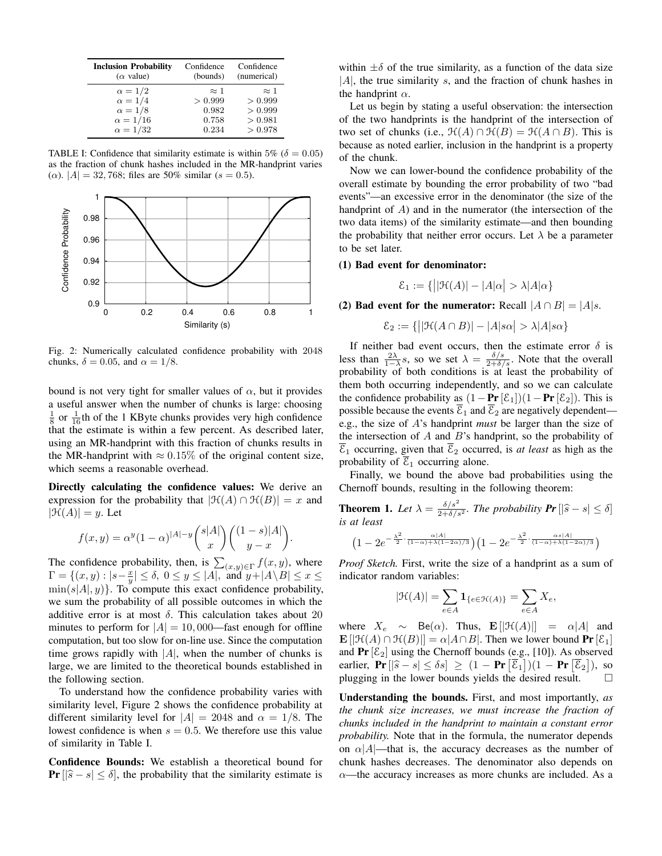| <b>Inclusion Probability</b><br>$(\alpha \text{ value})$ | Confidence<br>(bounds) | Confidence<br>(numerical) |
|----------------------------------------------------------|------------------------|---------------------------|
| $\alpha = 1/2$                                           | $\approx$ 1            | $\approx$ 1               |
| $\alpha = 1/4$<br>$\alpha = 1/8$                         | > 0.999<br>0.982       | > 0.999<br>> 0.999        |
| $\alpha = 1/16$                                          | 0.758                  | > 0.981                   |
| $\alpha = 1/32$                                          | 0.234                  | > 0.978                   |

TABLE I: Confidence that similarity estimate is within 5% ( $\delta = 0.05$ ) as the fraction of chunk hashes included in the MR-handprint varies ( $\alpha$ ).  $|A| = 32,768$ ; files are 50% similar ( $s = 0.5$ ).



Fig. 2: Numerically calculated confidence probability with 2048 chunks,  $\delta = 0.05$ , and  $\alpha = 1/8$ .

bound is not very tight for smaller values of  $\alpha$ , but it provides a useful answer when the number of chunks is large: choosing  $\frac{1}{8}$  or  $\frac{1}{16}$ th of the 1 KByte chunks provides very high confidence that the estimate is within a few percent. As described later, using an MR-handprint with this fraction of chunks results in the MR-handprint with  $\approx 0.15\%$  of the original content size, which seems a reasonable overhead.

Directly calculating the confidence values: We derive an expression for the probability that  $|\mathcal{H}(A) \cap \mathcal{H}(B)| = x$  and  $|\mathcal{H}(A)| = y$ . Let

$$
f(x,y) = \alpha^{y} (1-\alpha)^{|A|-y} {s|A| \choose x} { (1-s)|A| \choose y-x}.
$$

The confidence probability, then, is  $\sum_{(x,y)\in\Gamma} f(x, y)$ , where  $\Gamma = \{ (x,y) : |s-\frac{x}{y}| \leq \delta, 0 \leq y \leq |A|, \text{ and } y + |A \setminus B| \leq x \leq \delta, 0 \leq y \leq |A|, 0 \leq y \leq |A|, 0 \leq y \leq 1 \}$  $\min(s|A|, y)$ . To compute this exact confidence probability, we sum the probability of all possible outcomes in which the additive error is at most  $\delta$ . This calculation takes about 20 minutes to perform for  $|A| = 10,000$ —fast enough for offline computation, but too slow for on-line use. Since the computation time grows rapidly with  $|A|$ , when the number of chunks is large, we are limited to the theoretical bounds established in the following section.

To understand how the confidence probability varies with similarity level, Figure 2 shows the confidence probability at different similarity level for  $|A| = 2048$  and  $\alpha = 1/8$ . The lowest confidence is when  $s = 0.5$ . We therefore use this value of similarity in Table I.

Confidence Bounds: We establish a theoretical bound for **Pr**  $\left|\left|\hat{s}-s\right|\right|\leq \delta$ , the probability that the similarity estimate is

within  $\pm \delta$  of the true similarity, as a function of the data size  $|A|$ , the true similarity s, and the fraction of chunk hashes in the handprint  $\alpha$ .

Let us begin by stating a useful observation: the intersection of the two handprints is the handprint of the intersection of two set of chunks (i.e.,  $\mathcal{H}(A) \cap \mathcal{H}(B) = \mathcal{H}(A \cap B)$ ). This is because as noted earlier, inclusion in the handprint is a property of the chunk.

Now we can lower-bound the confidence probability of the overall estimate by bounding the error probability of two "bad events"—an excessive error in the denominator (the size of the handprint of A) and in the numerator (the intersection of the two data items) of the similarity estimate—and then bounding the probability that neither error occurs. Let  $\lambda$  be a parameter to be set later.

#### (1) Bad event for denominator:

$$
\mathcal{E}_1 := \{ \big| |\mathcal{H}(A)| - |A|\alpha| > \lambda |A|\alpha \}
$$

(2) Bad event for the numerator: Recall  $|A \cap B| = |A|s$ .

$$
\mathcal{E}_2 := \{ \big| |\mathcal{H}(A \cap B)| - |A|s\alpha| > \lambda |A|s\alpha \}
$$

If neither bad event occurs, then the estimate error  $\delta$  is less than  $\frac{2\lambda}{1-\lambda}s$ , so we set  $\lambda = \frac{\delta/s}{2+\delta/s}$ . Note that the overall probability of both conditions is at least the probability of them both occurring independently, and so we can calculate the confidence probability as  $(1 - Pr[\mathcal{E}_1])(1 - Pr[\mathcal{E}_2])$ . This is possible because the events  $\overline{\varepsilon}_1$  and  $\overline{\varepsilon}_2$  are negatively dependent e.g., the size of A's handprint *must* be larger than the size of the intersection of A and B's handprint, so the probability of  $\overline{\mathcal{E}}_1$  occurring, given that  $\overline{\mathcal{E}}_2$  occurred, is *at least* as high as the probability of  $\overline{\mathcal{E}}_1$  occurring alone.

Finally, we bound the above bad probabilities using the Chernoff bounds, resulting in the following theorem:

**Theorem 1.** Let  $\lambda = \frac{\delta/s^2}{2+\delta/s^2}$ . The probability  $Pr\left[|\hat{s}-s| \leq \delta\right]$ *is at least*

$$
\big(1-2e^{-\frac{\lambda^2}{2}\cdot\frac{\alpha|A|}{(1-\alpha)+\lambda(1-2\alpha)/3}}\big)\big(1-2e^{-\frac{\lambda^2}{2}\cdot\frac{\alpha s|A|}{(1-\alpha)+\lambda(1-2\alpha)/3}}\big)
$$

*Proof Sketch.* First, write the size of a handprint as a sum of indicator random variables:

$$
|\mathfrak{H}(A)| = \sum_{e \in A} \mathbf{1}_{\{e \in \mathfrak{H}(A)\}} = \sum_{e \in A} X_e,
$$

where  $X_e \sim \text{Be}(\alpha)$ . Thus,  $\mathbf{E} [|\mathcal{H}(A)|] = \alpha |A|$  and  $\mathbf{E} \left[ \left| \mathcal{H}(A) \cap \mathcal{H}(B) \right| \right] = \alpha |A \cap B|$ . Then we lower bound  $\mathbf{Pr} \left[ \mathcal{E}_1 \right]$ and  $Pr[\mathcal{E}_2]$  using the Chernoff bounds (e.g., [10]). As observed earlier,  $\Pr\left[|\hat{s}-s| \leq \delta s\right] \geq (1 - \Pr\left[\overline{\mathcal{E}}_1\right])(1 - \Pr\left[\overline{\mathcal{E}}_2\right])$ , so plugging in the lower bounds vields the desired result plugging in the lower bounds yields the desired result.  $\Box$ 

Understanding the bounds. First, and most importantly, *as the chunk size increases, we must increase the fraction of chunks included in the handprint to maintain a constant error probability.* Note that in the formula, the numerator depends on  $\alpha$ |A|—that is, the accuracy decreases as the number of chunk hashes decreases. The denominator also depends on  $\alpha$ —the accuracy increases as more chunks are included. As a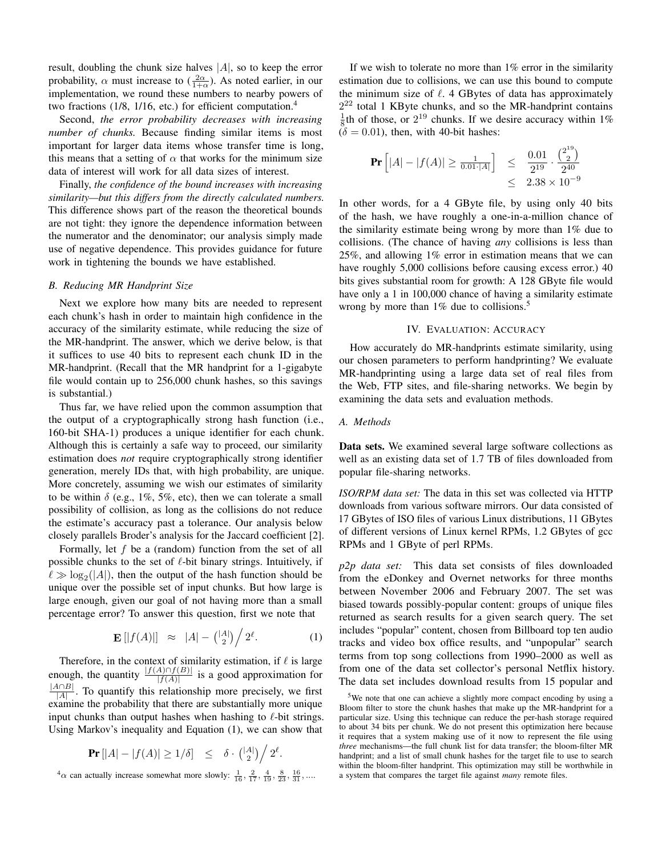result, doubling the chunk size halves  $|A|$ , so to keep the error probability,  $\alpha$  must increase to  $(\frac{2\alpha}{1+\alpha})$ . As noted earlier, in our implementation, we round these numbers to nearby powers of two fractions (1/8, 1/16, etc.) for efficient computation.<sup>4</sup>

Second, *the error probability decreases with increasing number of chunks.* Because finding similar items is most important for larger data items whose transfer time is long, this means that a setting of  $\alpha$  that works for the minimum size data of interest will work for all data sizes of interest.

Finally, *the confidence of the bound increases with increasing similarity—but this differs from the directly calculated numbers.* This difference shows part of the reason the theoretical bounds are not tight: they ignore the dependence information between the numerator and the denominator; our analysis simply made use of negative dependence. This provides guidance for future work in tightening the bounds we have established.

# *B. Reducing MR Handprint Size*

Next we explore how many bits are needed to represent each chunk's hash in order to maintain high confidence in the accuracy of the similarity estimate, while reducing the size of the MR-handprint. The answer, which we derive below, is that it suffices to use 40 bits to represent each chunk ID in the MR-handprint. (Recall that the MR handprint for a 1-gigabyte file would contain up to 256,000 chunk hashes, so this savings is substantial.)

Thus far, we have relied upon the common assumption that the output of a cryptographically strong hash function (i.e., 160-bit SHA-1) produces a unique identifier for each chunk. Although this is certainly a safe way to proceed, our similarity estimation does *not* require cryptographically strong identifier generation, merely IDs that, with high probability, are unique. More concretely, assuming we wish our estimates of similarity to be within  $\delta$  (e.g., 1%, 5%, etc), then we can tolerate a small possibility of collision, as long as the collisions do not reduce the estimate's accuracy past a tolerance. Our analysis below closely parallels Broder's analysis for the Jaccard coefficient [2].

Formally, let  $f$  be a (random) function from the set of all possible chunks to the set of  $\ell$ -bit binary strings. Intuitively, if  $\ell \gg \log_2(|A|)$ , then the output of the hash function should be unique over the possible set of input chunks. But how large is large enough, given our goal of not having more than a small percentage error? To answer this question, first we note that

$$
\mathbf{E}\left[|f(A)|\right] \approx |A| - {|A| \choose 2} / 2^{\ell}.
$$
 (1)

.

Therefore, in the context of similarity estimation, if  $\ell$  is large enough, the quantity  $\frac{|f(A) \cap f(B)|}{|f(A)|}$  is a good approximation for  $|A \cap B|$  $\frac{A||B||}{|A|}$ . To quantify this relationship more precisely, we first examine the probability that there are substantially more unique input chunks than output hashes when hashing to  $\ell$ -bit strings. Using Markov's inequality and Equation (1), we can show that

$$
\Pr\left[|A| - |f(A)| \ge 1/\delta\right] \le \delta \cdot \binom{|A|}{2} / 2^{\ell}
$$

 ${}^4\alpha$  can actually increase somewhat more slowly:  $\frac{1}{16}$ ,  $\frac{2}{17}$ ,  $\frac{4}{19}$ ,  $\frac{8}{23}$ ,  $\frac{16}{31}$ , ....

If we wish to tolerate no more than  $1\%$  error in the similarity estimation due to collisions, we can use this bound to compute the minimum size of  $\ell$ . 4 GBytes of data has approximately  $2^{22}$  total 1 KByte chunks, and so the MR-handprint contains  $\frac{1}{8}$ th of those, or  $2^{19}$  chunks. If we desire accuracy within 1%  $(δ = 0.01)$ , then, with 40-bit hashes:

$$
\Pr\left[|A| - |f(A)| \ge \frac{1}{0.01 \cdot |A|}\right] \le \frac{0.01}{2^{19}} \cdot \frac{\binom{2^{19}}{2}}{2^{40}} \le 2.38 \times 10^{-9}
$$

In other words, for a 4 GByte file, by using only 40 bits of the hash, we have roughly a one-in-a-million chance of the similarity estimate being wrong by more than 1% due to collisions. (The chance of having *any* collisions is less than 25%, and allowing 1% error in estimation means that we can have roughly 5,000 collisions before causing excess error.) 40 bits gives substantial room for growth: A 128 GByte file would have only a 1 in 100,000 chance of having a similarity estimate wrong by more than  $1\%$  due to collisions.<sup>5</sup>

## IV. EVALUATION: ACCURACY

How accurately do MR-handprints estimate similarity, using our chosen parameters to perform handprinting? We evaluate MR-handprinting using a large data set of real files from the Web, FTP sites, and file-sharing networks. We begin by examining the data sets and evaluation methods.

## *A. Methods*

Data sets. We examined several large software collections as well as an existing data set of 1.7 TB of files downloaded from popular file-sharing networks.

*ISO/RPM data set:* The data in this set was collected via HTTP downloads from various software mirrors. Our data consisted of 17 GBytes of ISO files of various Linux distributions, 11 GBytes of different versions of Linux kernel RPMs, 1.2 GBytes of gcc RPMs and 1 GByte of perl RPMs.

*p2p data set:* This data set consists of files downloaded from the eDonkey and Overnet networks for three months between November 2006 and February 2007. The set was biased towards possibly-popular content: groups of unique files returned as search results for a given search query. The set includes "popular" content, chosen from Billboard top ten audio tracks and video box office results, and "unpopular" search terms from top song collections from 1990–2000 as well as from one of the data set collector's personal Netflix history. The data set includes download results from 15 popular and

<sup>5</sup>We note that one can achieve a slightly more compact encoding by using a Bloom filter to store the chunk hashes that make up the MR-handprint for a particular size. Using this technique can reduce the per-hash storage required to about 34 bits per chunk. We do not present this optimization here because it requires that a system making use of it now to represent the file using *three* mechanisms—the full chunk list for data transfer; the bloom-filter MR handprint; and a list of small chunk hashes for the target file to use to search within the bloom-filter handprint. This optimization may still be worthwhile in a system that compares the target file against *many* remote files.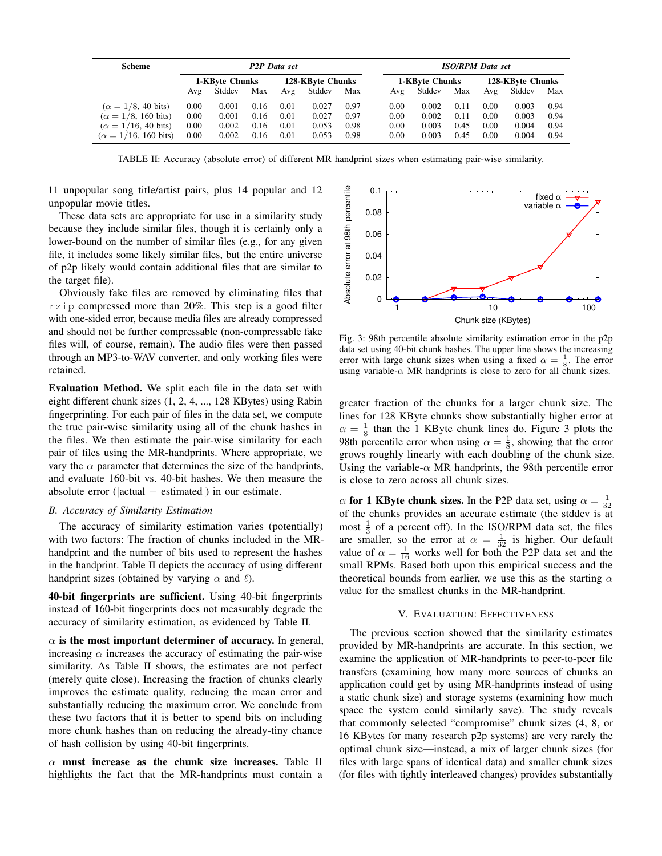| <b>Scheme</b>                       | <b>P2P</b> Data set |        |      |                  |        | <b>ISO/RPM</b> Data set |                |        |      |                  |        |      |
|-------------------------------------|---------------------|--------|------|------------------|--------|-------------------------|----------------|--------|------|------------------|--------|------|
|                                     | 1-KByte Chunks      |        |      | 128-KByte Chunks |        |                         | 1-KByte Chunks |        |      | 128-KByte Chunks |        |      |
|                                     | Avg                 | Stddev | Max  | Avg              | Stddev | Max                     | Avg            | Stddev | Max  | Avg              | Stddev | Max  |
| $(\alpha = 1/8, 40 \text{ bits})$   | 0.00                | 0.001  | 0.16 | 0.01             | 0.027  | 0.97                    | 0.00           | 0.002  | 0.11 | 0.00             | 0.003  | 0.94 |
| $(\alpha = 1/8, 160 \text{ bits})$  | 0.00                | 0.001  | 0.16 | 0.01             | 0.027  | 0.97                    | 0.00           | 0.002  | 0.11 | 0.00             | 0.003  | 0.94 |
| $(\alpha = 1/16, 40 \text{ bits})$  | 0.00                | 0.002  | 0.16 | 0.01             | 0.053  | 0.98                    | 0.00           | 0.003  | 0.45 | 0.00             | 0.004  | 0.94 |
| $(\alpha = 1/16, 160 \text{ bits})$ | 0.00                | 0.002  | 0.16 | 0.01             | 0.053  | 0.98                    | 0.00           | 0.003  | 0.45 | 0.00             | 0.004  | 0.94 |

TABLE II: Accuracy (absolute error) of different MR handprint sizes when estimating pair-wise similarity.

11 unpopular song title/artist pairs, plus 14 popular and 12 unpopular movie titles.

These data sets are appropriate for use in a similarity study because they include similar files, though it is certainly only a lower-bound on the number of similar files (e.g., for any given file, it includes some likely similar files, but the entire universe of p2p likely would contain additional files that are similar to the target file).

Obviously fake files are removed by eliminating files that rzip compressed more than 20%. This step is a good filter with one-sided error, because media files are already compressed and should not be further compressable (non-compressable fake files will, of course, remain). The audio files were then passed through an MP3-to-WAV converter, and only working files were retained.

Evaluation Method. We split each file in the data set with eight different chunk sizes (1, 2, 4, ..., 128 KBytes) using Rabin fingerprinting. For each pair of files in the data set, we compute the true pair-wise similarity using all of the chunk hashes in the files. We then estimate the pair-wise similarity for each pair of files using the MR-handprints. Where appropriate, we vary the  $\alpha$  parameter that determines the size of the handprints, and evaluate 160-bit vs. 40-bit hashes. We then measure the absolute error ( $|actual - estimated|$ ) in our estimate.

## *B. Accuracy of Similarity Estimation*

The accuracy of similarity estimation varies (potentially) with two factors: The fraction of chunks included in the MRhandprint and the number of bits used to represent the hashes in the handprint. Table II depicts the accuracy of using different handprint sizes (obtained by varying  $\alpha$  and  $\ell$ ).

40-bit fingerprints are sufficient. Using 40-bit fingerprints instead of 160-bit fingerprints does not measurably degrade the accuracy of similarity estimation, as evidenced by Table II.

 $\alpha$  is the most important determiner of accuracy. In general, increasing  $\alpha$  increases the accuracy of estimating the pair-wise similarity. As Table II shows, the estimates are not perfect (merely quite close). Increasing the fraction of chunks clearly improves the estimate quality, reducing the mean error and substantially reducing the maximum error. We conclude from these two factors that it is better to spend bits on including more chunk hashes than on reducing the already-tiny chance of hash collision by using 40-bit fingerprints.

 $\alpha$  must increase as the chunk size increases. Table II highlights the fact that the MR-handprints must contain a



Fig. 3: 98th percentile absolute similarity estimation error in the p2p data set using 40-bit chunk hashes. The upper line shows the increasing error with large chunk sizes when using a fixed  $\alpha = \frac{1}{8}$ . The error using variable- $\alpha$  MR handprints is close to zero for all chunk sizes.

greater fraction of the chunks for a larger chunk size. The lines for 128 KByte chunks show substantially higher error at  $\alpha = \frac{1}{8}$  than the 1 KByte chunk lines do. Figure 3 plots the 98th percentile error when using  $\alpha = \frac{1}{8}$ , showing that the error grows roughly linearly with each doubling of the chunk size. Using the variable- $\alpha$  MR handprints, the 98th percentile error is close to zero across all chunk sizes.

 $\alpha$  for 1 KByte chunk sizes. In the P2P data set, using  $\alpha = \frac{1}{32}$ of the chunks provides an accurate estimate (the stddev is at most  $\frac{1}{3}$  of a percent off). In the ISO/RPM data set, the files are smaller, so the error at  $\alpha = \frac{1}{32}$  is higher. Our default value of  $\alpha = \frac{1}{16}$  works well for both the P2P data set and the small RPMs. Based both upon this empirical success and the theoretical bounds from earlier, we use this as the starting  $\alpha$ value for the smallest chunks in the MR-handprint.

## V. EVALUATION: EFFECTIVENESS

The previous section showed that the similarity estimates provided by MR-handprints are accurate. In this section, we examine the application of MR-handprints to peer-to-peer file transfers (examining how many more sources of chunks an application could get by using MR-handprints instead of using a static chunk size) and storage systems (examining how much space the system could similarly save). The study reveals that commonly selected "compromise" chunk sizes (4, 8, or 16 KBytes for many research p2p systems) are very rarely the optimal chunk size—instead, a mix of larger chunk sizes (for files with large spans of identical data) and smaller chunk sizes (for files with tightly interleaved changes) provides substantially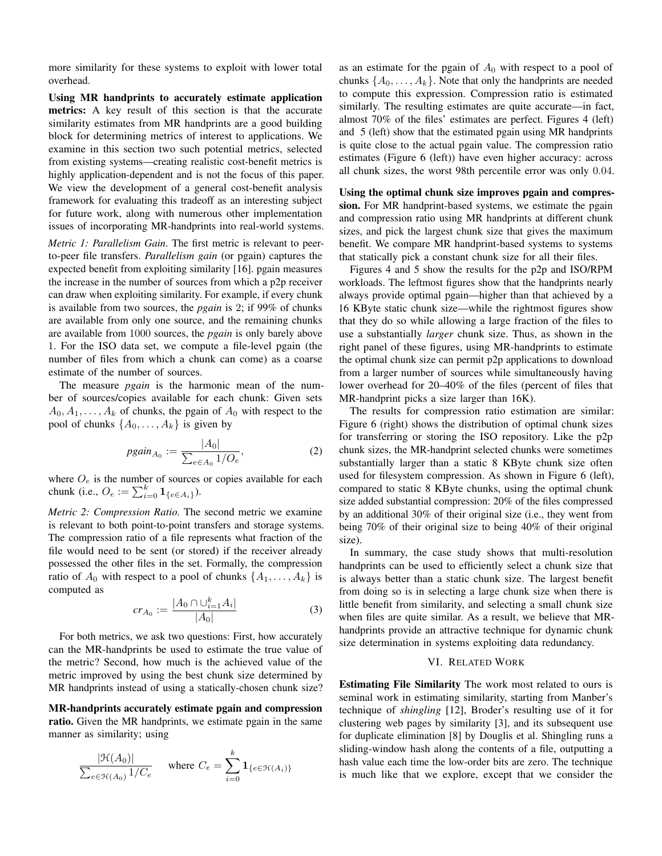more similarity for these systems to exploit with lower total overhead.

Using MR handprints to accurately estimate application metrics: A key result of this section is that the accurate similarity estimates from MR handprints are a good building block for determining metrics of interest to applications. We examine in this section two such potential metrics, selected from existing systems—creating realistic cost-benefit metrics is highly application-dependent and is not the focus of this paper. We view the development of a general cost-benefit analysis framework for evaluating this tradeoff as an interesting subject for future work, along with numerous other implementation issues of incorporating MR-handprints into real-world systems.

*Metric 1: Parallelism Gain*. The first metric is relevant to peerto-peer file transfers. *Parallelism gain* (or pgain) captures the expected benefit from exploiting similarity [16]. pgain measures the increase in the number of sources from which a p2p receiver can draw when exploiting similarity. For example, if every chunk is available from two sources, the *pgain* is 2; if 99% of chunks are available from only one source, and the remaining chunks are available from 1000 sources, the *pgain* is only barely above 1. For the ISO data set, we compute a file-level pgain (the number of files from which a chunk can come) as a coarse estimate of the number of sources.

The measure *pgain* is the harmonic mean of the number of sources/copies available for each chunk: Given sets  $A_0, A_1, \ldots, A_k$  of chunks, the pgain of  $A_0$  with respect to the pool of chunks  $\{A_0, \ldots, A_k\}$  is given by

$$
pgain_{A_0} := \frac{|A_0|}{\sum_{e \in A_0} 1/O_e},
$$
 (2)

where  $O_e$  is the number of sources or copies available for each chunk (i.e.,  $O_e := \sum_{i=0}^{k} \mathbf{1}_{\{e \in A_i\}}$ ).

*Metric 2: Compression Ratio.* The second metric we examine is relevant to both point-to-point transfers and storage systems. The compression ratio of a file represents what fraction of the file would need to be sent (or stored) if the receiver already possessed the other files in the set. Formally, the compression ratio of  $A_0$  with respect to a pool of chunks  $\{A_1, \ldots, A_k\}$  is computed as

$$
cr_{A_0} := \frac{|A_0 \cap \bigcup_{i=1}^k A_i|}{|A_0|} \tag{3}
$$

For both metrics, we ask two questions: First, how accurately can the MR-handprints be used to estimate the true value of the metric? Second, how much is the achieved value of the metric improved by using the best chunk size determined by MR handprints instead of using a statically-chosen chunk size?

MR-handprints accurately estimate pgain and compression ratio. Given the MR handprints, we estimate pgain in the same manner as similarity; using

$$
\frac{|\mathcal{H}(A_0)|}{\sum_{e \in \mathcal{H}(A_0)} 1/C_e} \quad \text{where } C_e = \sum_{i=0}^k \mathbf{1}_{\{e \in \mathcal{H}(A_i)\}}
$$

as an estimate for the pgain of  $A_0$  with respect to a pool of chunks  $\{A_0, \ldots, A_k\}$ . Note that only the handprints are needed to compute this expression. Compression ratio is estimated similarly. The resulting estimates are quite accurate—in fact, almost 70% of the files' estimates are perfect. Figures 4 (left) and 5 (left) show that the estimated pgain using MR handprints is quite close to the actual pgain value. The compression ratio estimates (Figure 6 (left)) have even higher accuracy: across all chunk sizes, the worst 98th percentile error was only 0.04.

Using the optimal chunk size improves pgain and compression. For MR handprint-based systems, we estimate the pgain and compression ratio using MR handprints at different chunk sizes, and pick the largest chunk size that gives the maximum benefit. We compare MR handprint-based systems to systems that statically pick a constant chunk size for all their files.

Figures 4 and 5 show the results for the p2p and ISO/RPM workloads. The leftmost figures show that the handprints nearly always provide optimal pgain—higher than that achieved by a 16 KByte static chunk size—while the rightmost figures show that they do so while allowing a large fraction of the files to use a substantially *larger* chunk size. Thus, as shown in the right panel of these figures, using MR-handprints to estimate the optimal chunk size can permit p2p applications to download from a larger number of sources while simultaneously having lower overhead for 20–40% of the files (percent of files that MR-handprint picks a size larger than 16K).

The results for compression ratio estimation are similar: Figure 6 (right) shows the distribution of optimal chunk sizes for transferring or storing the ISO repository. Like the p2p chunk sizes, the MR-handprint selected chunks were sometimes substantially larger than a static 8 KByte chunk size often used for filesystem compression. As shown in Figure 6 (left), compared to static 8 KByte chunks, using the optimal chunk size added substantial compression: 20% of the files compressed by an additional 30% of their original size (i.e., they went from being 70% of their original size to being 40% of their original size).

In summary, the case study shows that multi-resolution handprints can be used to efficiently select a chunk size that is always better than a static chunk size. The largest benefit from doing so is in selecting a large chunk size when there is little benefit from similarity, and selecting a small chunk size when files are quite similar. As a result, we believe that MRhandprints provide an attractive technique for dynamic chunk size determination in systems exploiting data redundancy.

## VI. RELATED WORK

Estimating File Similarity The work most related to ours is seminal work in estimating similarity, starting from Manber's technique of *shingling* [12], Broder's resulting use of it for clustering web pages by similarity [3], and its subsequent use for duplicate elimination [8] by Douglis et al. Shingling runs a sliding-window hash along the contents of a file, outputting a hash value each time the low-order bits are zero. The technique is much like that we explore, except that we consider the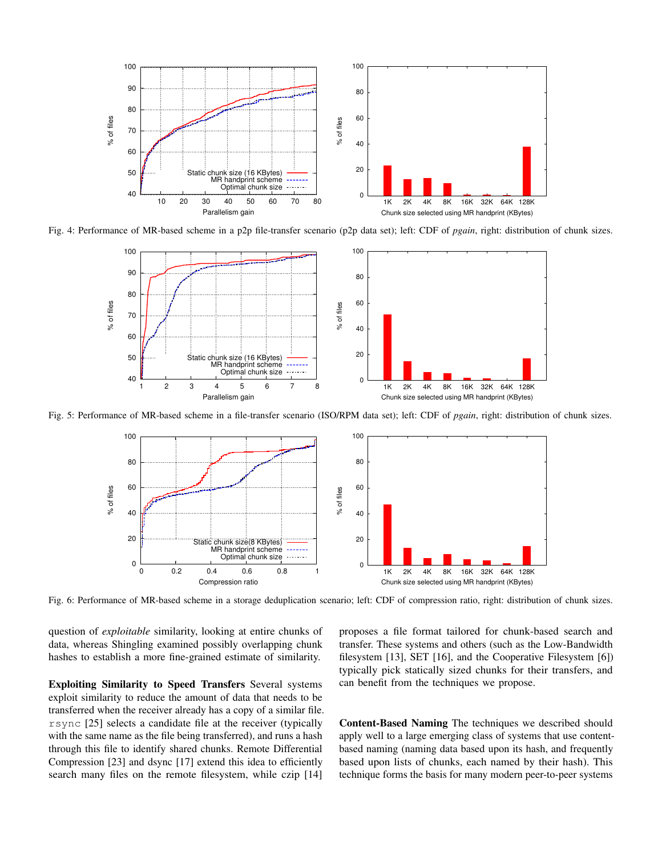

Fig. 4: Performance of MR-based scheme in a p2p file-transfer scenario (p2p data set); left: CDF of *pgain*, right: distribution of chunk sizes.



Fig. 5: Performance of MR-based scheme in a file-transfer scenario (ISO/RPM data set); left: CDF of *pgain*, right: distribution of chunk sizes.



Fig. 6: Performance of MR-based scheme in a storage deduplication scenario; left: CDF of compression ratio, right: distribution of chunk sizes.

question of *exploitable* similarity, looking at entire chunks of data, whereas Shingling examined possibly overlapping chunk hashes to establish a more fine-grained estimate of similarity.

Exploiting Similarity to Speed Transfers Several systems exploit similarity to reduce the amount of data that needs to be transferred when the receiver already has a copy of a similar file. rsync [25] selects a candidate file at the receiver (typically with the same name as the file being transferred), and runs a hash through this file to identify shared chunks. Remote Differential Compression [23] and dsync [17] extend this idea to efficiently search many files on the remote filesystem, while czip [14]

proposes a file format tailored for chunk-based search and transfer. These systems and others (such as the Low-Bandwidth filesystem [13], SET [16], and the Cooperative Filesystem [6]) typically pick statically sized chunks for their transfers, and can benefit from the techniques we propose.

Content-Based Naming The techniques we described should apply well to a large emerging class of systems that use contentbased naming (naming data based upon its hash, and frequently based upon lists of chunks, each named by their hash). This technique forms the basis for many modern peer-to-peer systems